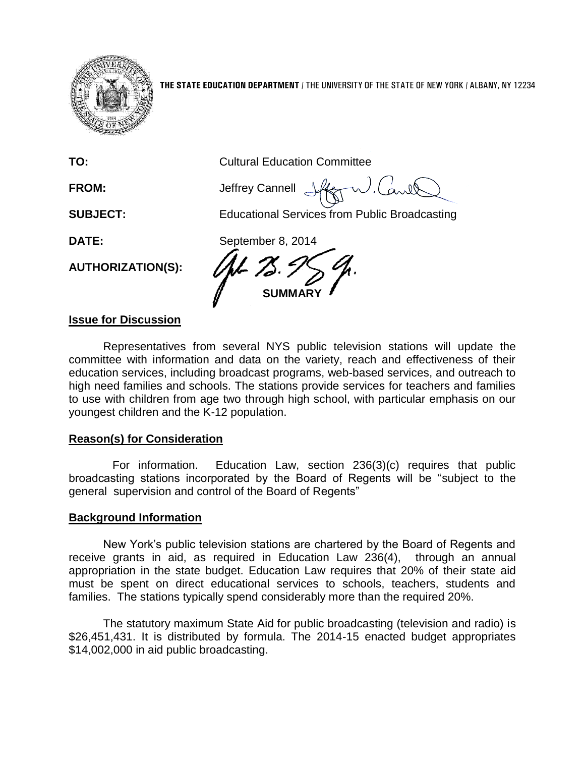

**THE STATE EDUCATION DEPARTMENT** / THE UNIVERSITY OF THE STATE OF NEW YORK / ALBANY, NY 12234

**TO:** Cultural Education Committee

J.Carle FROM: **Jeffrey Cannell** 

**SUBJECT:** Educational Services from Public Broadcasting

**AUTHORIZATION(S):**

**DATE:** September 8, 2014 **MMARY** 

## **Issue for Discussion**

Representatives from several NYS public television stations will update the committee with information and data on the variety, reach and effectiveness of their education services, including broadcast programs, web-based services, and outreach to high need families and schools. The stations provide services for teachers and families to use with children from age two through high school, with particular emphasis on our youngest children and the K-12 population.

## **Reason(s) for Consideration**

For information. Education Law, section 236(3)(c) requires that public broadcasting stations incorporated by the Board of Regents will be "subject to the general supervision and control of the Board of Regents"

## **Background Information**

New York's public television stations are chartered by the Board of Regents and receive grants in aid, as required in Education Law 236(4), through an annual appropriation in the state budget. Education Law requires that 20% of their state aid must be spent on direct educational services to schools, teachers, students and families. The stations typically spend considerably more than the required 20%.

The statutory maximum State Aid for public broadcasting (television and radio) is \$26,451,431. It is distributed by formula. The 2014-15 enacted budget appropriates \$14,002,000 in aid public broadcasting.